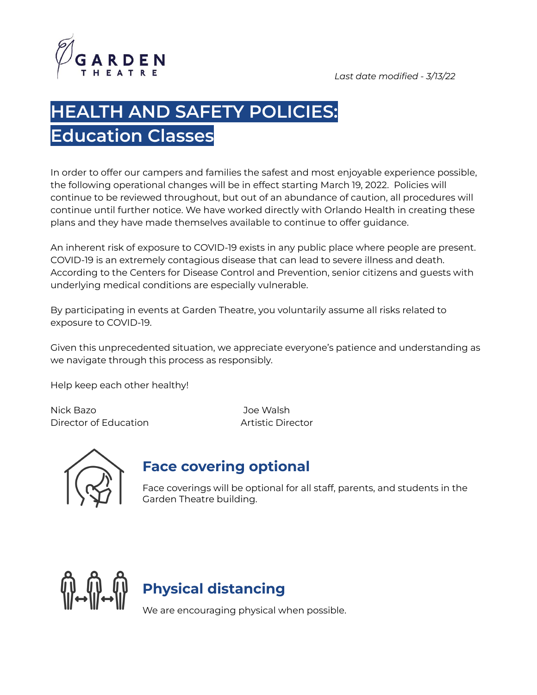

# **HEALTH AND SAFETY POLICIES: Education Classes**

In order to offer our campers and families the safest and most enjoyable experience possible, the following operational changes will be in effect starting March 19, 2022. Policies will continue to be reviewed throughout, but out of an abundance of caution, all procedures will continue until further notice. We have worked directly with Orlando Health in creating these plans and they have made themselves available to continue to offer guidance.

An inherent risk of exposure to COVID-19 exists in any public place where people are present. COVID-19 is an extremely contagious disease that can lead to severe illness and death. According to the Centers for Disease Control and Prevention, senior citizens and guests with underlying medical conditions are especially vulnerable.

By participating in events at Garden Theatre, you voluntarily assume all risks related to exposure to COVID-19.

Given this unprecedented situation, we appreciate everyone's patience and understanding as we navigate through this process as responsibly.

Help keep each other healthy!

Nick Bazo Joe Walsh Director of Education **Artistic Director** 



#### **Face covering optional**

Face coverings will be optional for all staff, parents, and students in the Garden Theatre building.



# **M**<br>W⇔\||⇔\||<br>W⇔\||⇔\||

We are encouraging physical when possible.